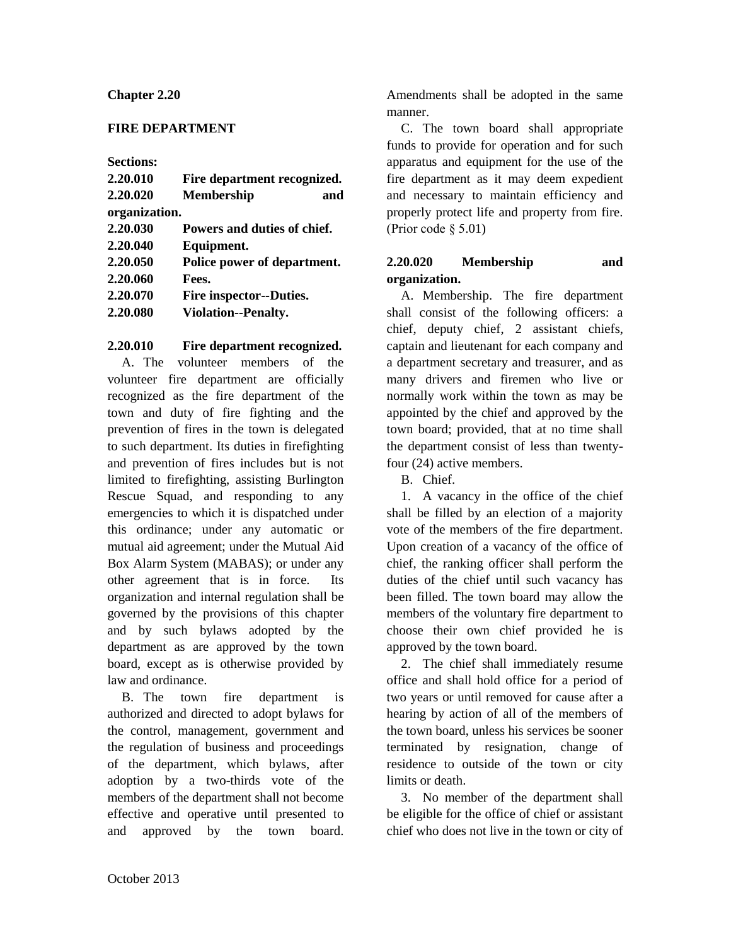### **Chapter 2.20**

### **FIRE DEPARTMENT**

**Sections:**

| 2.20.010      | Fire department recognized.    |
|---------------|--------------------------------|
| 2.20.020      | <b>Membership</b><br>and       |
| organization. |                                |
| 2.20.030      | Powers and duties of chief.    |
| 2.20.040      | Equipment.                     |
| 2.20.050      | Police power of department.    |
| 2.20.060      | Fees.                          |
| 2.20.070      | <b>Fire inspector--Duties.</b> |
| 2.20.080      | <b>Violation--Penalty.</b>     |

#### **2.20.010 Fire department recognized.**

A. The volunteer members of the volunteer fire department are officially recognized as the fire department of the town and duty of fire fighting and the prevention of fires in the town is delegated to such department. Its duties in firefighting and prevention of fires includes but is not limited to firefighting, assisting Burlington Rescue Squad, and responding to any emergencies to which it is dispatched under this ordinance; under any automatic or mutual aid agreement; under the Mutual Aid Box Alarm System (MABAS); or under any other agreement that is in force. Its organization and internal regulation shall be governed by the provisions of this chapter and by such bylaws adopted by the department as are approved by the town board, except as is otherwise provided by law and ordinance.

B. The town fire department is authorized and directed to adopt bylaws for the control, management, government and the regulation of business and proceedings of the department, which bylaws, after adoption by a two-thirds vote of the members of the department shall not become effective and operative until presented to and approved by the town board.

Amendments shall be adopted in the same manner.

C. The town board shall appropriate funds to provide for operation and for such apparatus and equipment for the use of the fire department as it may deem expedient and necessary to maintain efficiency and properly protect life and property from fire. (Prior code § 5.01)

## **2.20.020 Membership and organization.**

A. Membership. The fire department shall consist of the following officers: a chief, deputy chief, 2 assistant chiefs, captain and lieutenant for each company and a department secretary and treasurer, and as many drivers and firemen who live or normally work within the town as may be appointed by the chief and approved by the town board; provided, that at no time shall the department consist of less than twentyfour (24) active members.

B. Chief.

1. A vacancy in the office of the chief shall be filled by an election of a majority vote of the members of the fire department. Upon creation of a vacancy of the office of chief, the ranking officer shall perform the duties of the chief until such vacancy has been filled. The town board may allow the members of the voluntary fire department to choose their own chief provided he is approved by the town board.

2. The chief shall immediately resume office and shall hold office for a period of two years or until removed for cause after a hearing by action of all of the members of the town board, unless his services be sooner terminated by resignation, change of residence to outside of the town or city limits or death.

3. No member of the department shall be eligible for the office of chief or assistant chief who does not live in the town or city of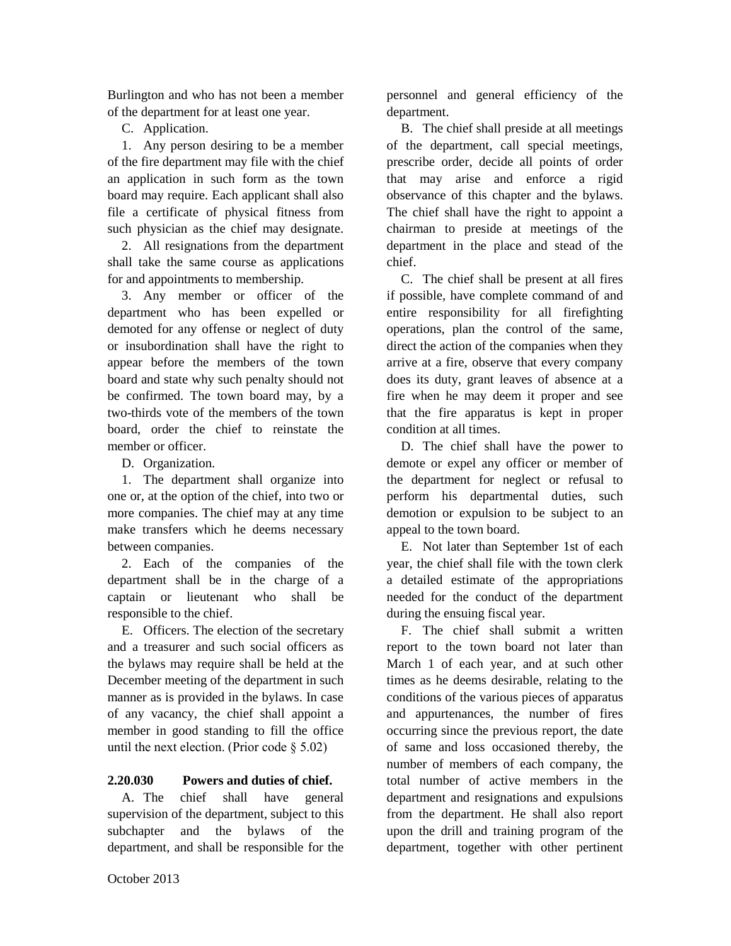Burlington and who has not been a member of the department for at least one year.

C. Application.

1. Any person desiring to be a member of the fire department may file with the chief an application in such form as the town board may require. Each applicant shall also file a certificate of physical fitness from such physician as the chief may designate.

2. All resignations from the department shall take the same course as applications for and appointments to membership.

3. Any member or officer of the department who has been expelled or demoted for any offense or neglect of duty or insubordination shall have the right to appear before the members of the town board and state why such penalty should not be confirmed. The town board may, by a two-thirds vote of the members of the town board, order the chief to reinstate the member or officer.

D. Organization.

1. The department shall organize into one or, at the option of the chief, into two or more companies. The chief may at any time make transfers which he deems necessary between companies.

2. Each of the companies of the department shall be in the charge of a captain or lieutenant who shall be responsible to the chief.

E. Officers. The election of the secretary and a treasurer and such social officers as the bylaws may require shall be held at the December meeting of the department in such manner as is provided in the bylaws. In case of any vacancy, the chief shall appoint a member in good standing to fill the office until the next election. (Prior code  $\S 5.02$ )

# **2.20.030 Powers and duties of chief.**

A. The chief shall have general supervision of the department, subject to this subchapter and the bylaws of the department, and shall be responsible for the personnel and general efficiency of the department.

B. The chief shall preside at all meetings of the department, call special meetings, prescribe order, decide all points of order that may arise and enforce a rigid observance of this chapter and the bylaws. The chief shall have the right to appoint a chairman to preside at meetings of the department in the place and stead of the chief.

C. The chief shall be present at all fires if possible, have complete command of and entire responsibility for all firefighting operations, plan the control of the same, direct the action of the companies when they arrive at a fire, observe that every company does its duty, grant leaves of absence at a fire when he may deem it proper and see that the fire apparatus is kept in proper condition at all times.

D. The chief shall have the power to demote or expel any officer or member of the department for neglect or refusal to perform his departmental duties, such demotion or expulsion to be subject to an appeal to the town board.

E. Not later than September 1st of each year, the chief shall file with the town clerk a detailed estimate of the appropriations needed for the conduct of the department during the ensuing fiscal year.

F. The chief shall submit a written report to the town board not later than March 1 of each year, and at such other times as he deems desirable, relating to the conditions of the various pieces of apparatus and appurtenances, the number of fires occurring since the previous report, the date of same and loss occasioned thereby, the number of members of each company, the total number of active members in the department and resignations and expulsions from the department. He shall also report upon the drill and training program of the department, together with other pertinent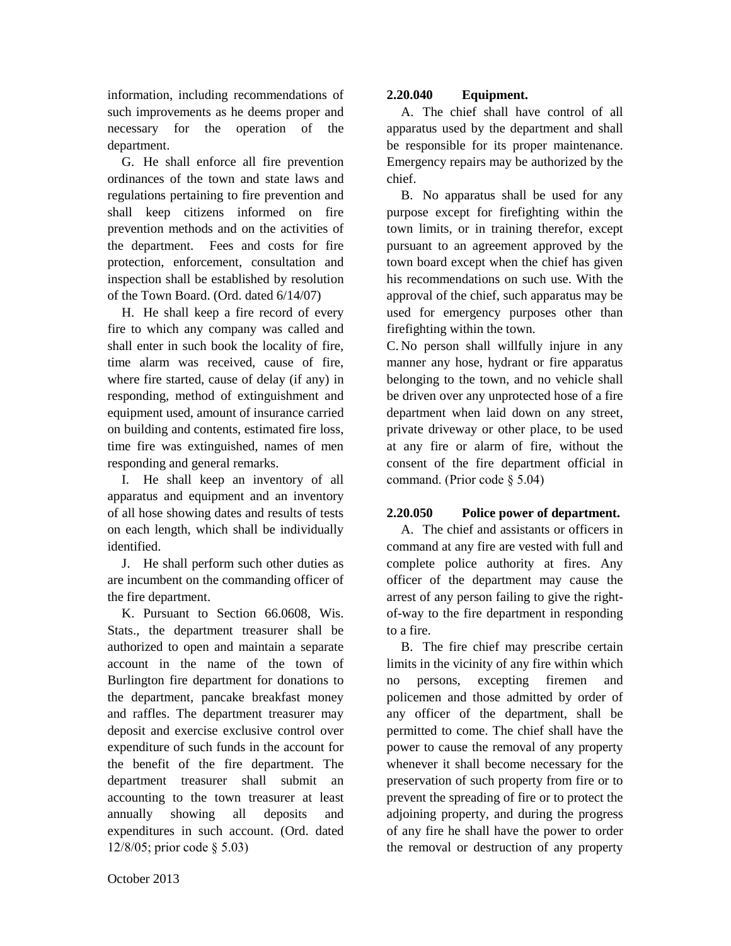information, including recommendations of such improvements as he deems proper and necessary for the operation of the department.

G. He shall enforce all fire prevention ordinances of the town and state laws and regulations pertaining to fire prevention and shall keep citizens informed on fire prevention methods and on the activities of the department. Fees and costs for fire protection, enforcement, consultation and inspection shall be established by resolution of the Town Board. (Ord. dated 6/14/07)

H. He shall keep a fire record of every fire to which any company was called and shall enter in such book the locality of fire, time alarm was received, cause of fire, where fire started, cause of delay (if any) in responding, method of extinguishment and equipment used, amount of insurance carried on building and contents, estimated fire loss, time fire was extinguished, names of men responding and general remarks.

I. He shall keep an inventory of all apparatus and equipment and an inventory of all hose showing dates and results of tests on each length, which shall be individually identified.

J. He shall perform such other duties as are incumbent on the commanding officer of the fire department.

K. Pursuant to Section 66.0608, Wis. Stats., the department treasurer shall be authorized to open and maintain a separate account in the name of the town of Burlington fire department for donations to the department, pancake breakfast money and raffles. The department treasurer may deposit and exercise exclusive control over expenditure of such funds in the account for the benefit of the fire department. The department treasurer shall submit an accounting to the town treasurer at least annually showing all deposits and expenditures in such account. (Ord. dated 12/8/05; prior code § 5.03)

# **2.20.040 Equipment.**

A. The chief shall have control of all apparatus used by the department and shall be responsible for its proper maintenance. Emergency repairs may be authorized by the chief.

B. No apparatus shall be used for any purpose except for firefighting within the town limits, or in training therefor, except pursuant to an agreement approved by the town board except when the chief has given his recommendations on such use. With the approval of the chief, such apparatus may be used for emergency purposes other than firefighting within the town.

C. No person shall willfully injure in any manner any hose, hydrant or fire apparatus belonging to the town, and no vehicle shall be driven over any unprotected hose of a fire department when laid down on any street, private driveway or other place, to be used at any fire or alarm of fire, without the consent of the fire department official in command. (Prior code § 5.04)

# **2.20.050 Police power of department.**

A. The chief and assistants or officers in command at any fire are vested with full and complete police authority at fires. Any officer of the department may cause the arrest of any person failing to give the rightof-way to the fire department in responding to a fire.

B. The fire chief may prescribe certain limits in the vicinity of any fire within which no persons, excepting firemen and policemen and those admitted by order of any officer of the department, shall be permitted to come. The chief shall have the power to cause the removal of any property whenever it shall become necessary for the preservation of such property from fire or to prevent the spreading of fire or to protect the adjoining property, and during the progress of any fire he shall have the power to order the removal or destruction of any property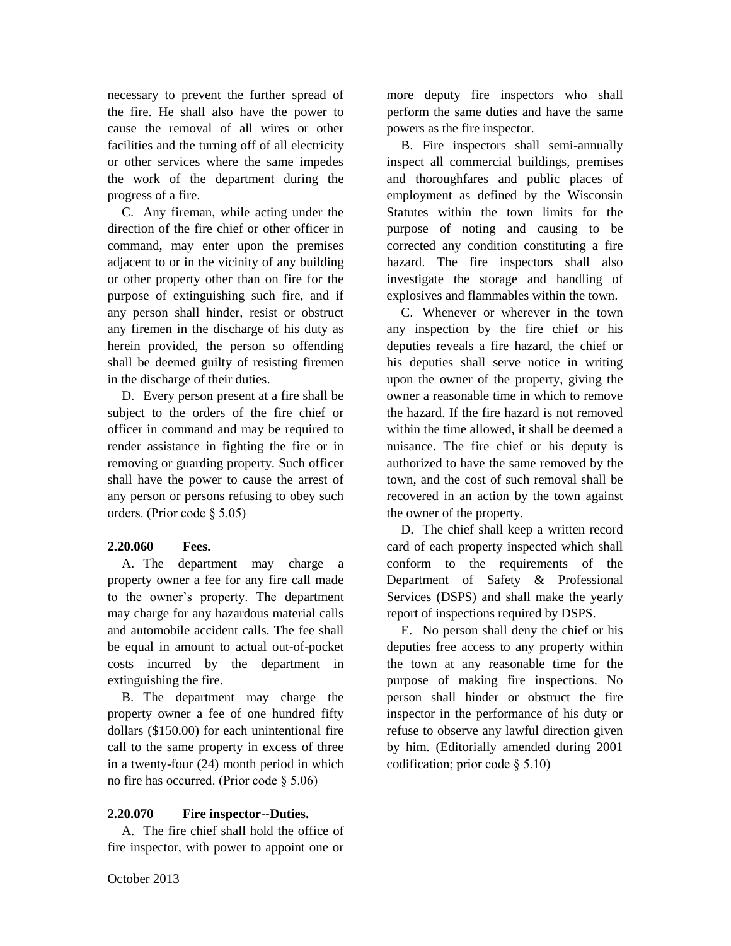necessary to prevent the further spread of the fire. He shall also have the power to cause the removal of all wires or other facilities and the turning off of all electricity or other services where the same impedes the work of the department during the progress of a fire.

C. Any fireman, while acting under the direction of the fire chief or other officer in command, may enter upon the premises adjacent to or in the vicinity of any building or other property other than on fire for the purpose of extinguishing such fire, and if any person shall hinder, resist or obstruct any firemen in the discharge of his duty as herein provided, the person so offending shall be deemed guilty of resisting firemen in the discharge of their duties.

D. Every person present at a fire shall be subject to the orders of the fire chief or officer in command and may be required to render assistance in fighting the fire or in removing or guarding property. Such officer shall have the power to cause the arrest of any person or persons refusing to obey such orders. (Prior code § 5.05)

#### **2.20.060 Fees.**

A. The department may charge a property owner a fee for any fire call made to the owner's property. The department may charge for any hazardous material calls and automobile accident calls. The fee shall be equal in amount to actual out-of-pocket costs incurred by the department in extinguishing the fire.

B. The department may charge the property owner a fee of one hundred fifty dollars (\$150.00) for each unintentional fire call to the same property in excess of three in a twenty-four (24) month period in which no fire has occurred. (Prior code § 5.06)

### **2.20.070 Fire inspector--Duties.**

A. The fire chief shall hold the office of fire inspector, with power to appoint one or more deputy fire inspectors who shall perform the same duties and have the same powers as the fire inspector.

B. Fire inspectors shall semi-annually inspect all commercial buildings, premises and thoroughfares and public places of employment as defined by the Wisconsin Statutes within the town limits for the purpose of noting and causing to be corrected any condition constituting a fire hazard. The fire inspectors shall also investigate the storage and handling of explosives and flammables within the town.

C. Whenever or wherever in the town any inspection by the fire chief or his deputies reveals a fire hazard, the chief or his deputies shall serve notice in writing upon the owner of the property, giving the owner a reasonable time in which to remove the hazard. If the fire hazard is not removed within the time allowed, it shall be deemed a nuisance. The fire chief or his deputy is authorized to have the same removed by the town, and the cost of such removal shall be recovered in an action by the town against the owner of the property.

D. The chief shall keep a written record card of each property inspected which shall conform to the requirements of the Department of Safety & Professional Services (DSPS) and shall make the yearly report of inspections required by DSPS.

E. No person shall deny the chief or his deputies free access to any property within the town at any reasonable time for the purpose of making fire inspections. No person shall hinder or obstruct the fire inspector in the performance of his duty or refuse to observe any lawful direction given by him. (Editorially amended during 2001 codification; prior code § 5.10)